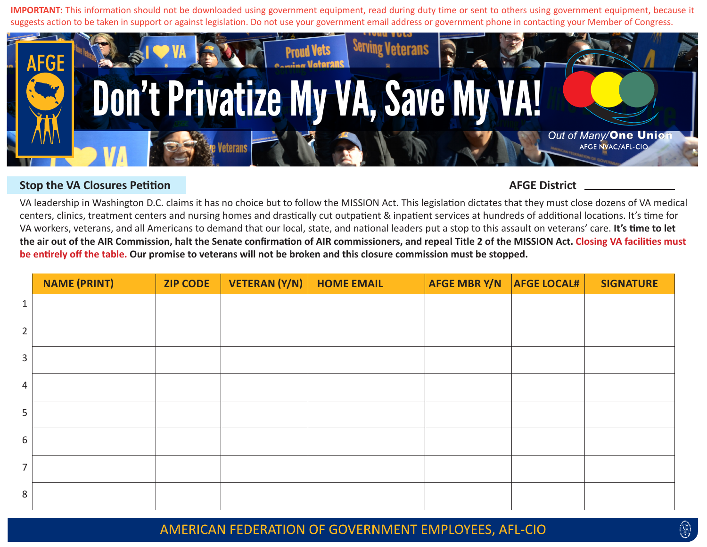**IMPORTANT:** This information should not be downloaded using government equipment, read during duty time or sent to others using government equipment, because it suggests action to be taken in support or against legislation. Do not use your government email address or government phone in contacting your Member of Congress.



## **Stop the VA Closures Petition AFGE District**  AFGE District

VA leadership in Washington D.C. claims it has no choice but to follow the MISSION Act. This legislation dictates that they must close dozens of VA medical centers, clinics, treatment centers and nursing homes and drastically cut outpatient & inpatient services at hundreds of additional locations. It's time for VA workers, veterans, and all Americans to demand that our local, state, and national leaders put a stop to this assault on veterans' care. **It's time to let the air out of the AIR Commission, halt the Senate confirmation of AIR commissioners, and repeal Title 2 of the MISSION Act. Closing VA facilities must be entirely off the table. Our promise to veterans will not be broken and this closure commission must be stopped.**

|                | <b>NAME (PRINT)</b> | <b>ZIP CODE</b> | VETERAN (Y/N) | <b>HOME EMAIL</b> | AFGE MBR Y/N | <b>AFGE LOCAL#</b> | <b>SIGNATURE</b> |
|----------------|---------------------|-----------------|---------------|-------------------|--------------|--------------------|------------------|
| $1\,$          |                     |                 |               |                   |              |                    |                  |
| $\overline{2}$ |                     |                 |               |                   |              |                    |                  |
| 3              |                     |                 |               |                   |              |                    |                  |
| 4              |                     |                 |               |                   |              |                    |                  |
| 5              |                     |                 |               |                   |              |                    |                  |
| $\sqrt{6}$     |                     |                 |               |                   |              |                    |                  |
| $\overline{7}$ |                     |                 |               |                   |              |                    |                  |
| 8              |                     |                 |               |                   |              |                    |                  |